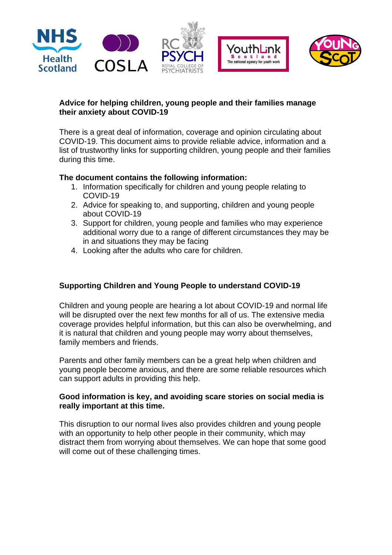





# **Advice for helping children, young people and their families manage their anxiety about COVID-19**

There is a great deal of information, coverage and opinion circulating about COVID-19. This document aims to provide reliable advice, information and a list of trustworthy links for supporting children, young people and their families during this time.

# **The document contains the following information:**

- 1. Information specifically for children and young people relating to COVID-19
- 2. Advice for speaking to, and supporting, children and young people about COVID-19
- 3. Support for children, young people and families who may experience additional worry due to a range of different circumstances they may be in and situations they may be facing
- 4. Looking after the adults who care for children.

# **Supporting Children and Young People to understand COVID-19**

Children and young people are hearing a lot about COVID-19 and normal life will be disrupted over the next few months for all of us. The extensive media coverage provides helpful information, but this can also be overwhelming, and it is natural that children and young people may worry about themselves, family members and friends.

Parents and other family members can be a great help when children and young people become anxious, and there are some reliable resources which can support adults in providing this help.

# **Good information is key, and avoiding scare stories on social media is really important at this time.**

This disruption to our normal lives also provides children and young people with an opportunity to help other people in their community, which may distract them from worrying about themselves. We can hope that some good will come out of these challenging times.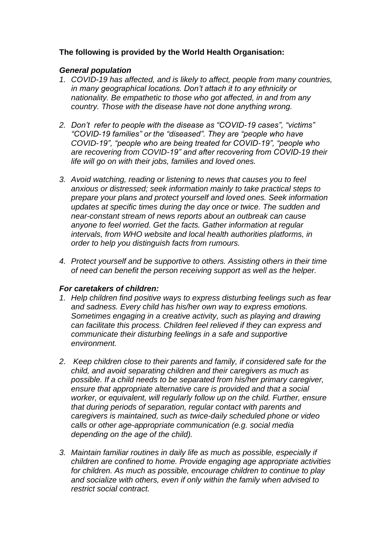# **The following is provided by the World Health Organisation:**

### *General population*

- *1. COVID-19 has affected, and is likely to affect, people from many countries, in many geographical locations. Don't attach it to any ethnicity or nationality. Be empathetic to those who got affected, in and from any country. Those with the disease have not done anything wrong.*
- *2. Don't refer to people with the disease as "COVID-19 cases", "victims" "COVID-19 families" or the "diseased". They are "people who have COVID-19", "people who are being treated for COVID-19", "people who are recovering from COVID-19" and after recovering from COVID-19 their life will go on with their jobs, families and loved ones.*
- *3. Avoid watching, reading or listening to news that causes you to feel anxious or distressed; seek information mainly to take practical steps to prepare your plans and protect yourself and loved ones. Seek information updates at specific times during the day once or twice. The sudden and near-constant stream of news reports about an outbreak can cause anyone to feel worried. Get the facts. Gather information at regular intervals, from WHO website and local health authorities platforms, in order to help you distinguish facts from rumours.*
- *4. Protect yourself and be supportive to others. Assisting others in their time of need can benefit the person receiving support as well as the helper.*

### *For caretakers of children:*

- *1. Help children find positive ways to express disturbing feelings such as fear and sadness. Every child has his/her own way to express emotions. Sometimes engaging in a creative activity, such as playing and drawing can facilitate this process. Children feel relieved if they can express and communicate their disturbing feelings in a safe and supportive environment.*
- *2. Keep children close to their parents and family, if considered safe for the child, and avoid separating children and their caregivers as much as possible. If a child needs to be separated from his/her primary caregiver, ensure that appropriate alternative care is provided and that a social worker, or equivalent, will regularly follow up on the child. Further, ensure that during periods of separation, regular contact with parents and caregivers is maintained, such as twice-daily scheduled phone or video calls or other age-appropriate communication (e.g. social media depending on the age of the child).*
- *3. Maintain familiar routines in daily life as much as possible, especially if children are confined to home. Provide engaging age appropriate activities for children. As much as possible, encourage children to continue to play and socialize with others, even if only within the family when advised to restrict social contract.*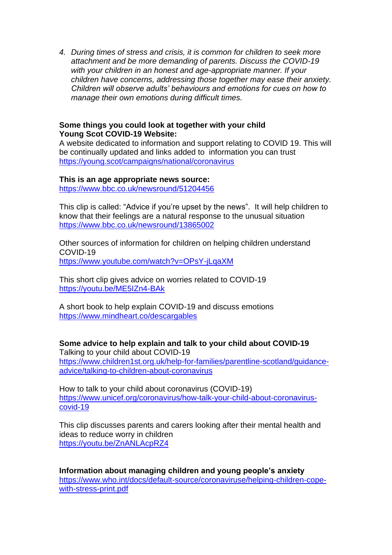*4. During times of stress and crisis, it is common for children to seek more attachment and be more demanding of parents. Discuss the COVID-19 with your children in an honest and age-appropriate manner. If your children have concerns, addressing those together may ease their anxiety. Children will observe adults' behaviours and emotions for cues on how to manage their own emotions during difficult times.* 

### **Some things you could look at together with your child Young Scot COVID-19 Website:**

A website dedicated to information and support relating to COVID 19. This will be continually updated and links added to information you can trust <https://young.scot/campaigns/national/coronavirus>

#### **This is an age appropriate news source:**

<https://www.bbc.co.uk/newsround/51204456>

This clip is called: "Advice if you're upset by the news". It will help children to know that their feelings are a natural response to the unusual situation <https://www.bbc.co.uk/newsround/13865002>

Other sources of information for children on helping children understand COVID-19 <https://www.youtube.com/watch?v=OPsY-jLqaXM>

This short clip gives advice on worries related to COVID-19 <https://youtu.be/ME5IZn4-BAk>

A short book to help explain COVID-19 and discuss emotions <https://www.mindheart.co/descargables>

**Some advice to help explain and talk to your child about COVID-19** Talking to your child about COVID-19 [https://www.children1st.org.uk/help-for-families/parentline-scotland/guidance](https://www.children1st.org.uk/help-for-families/parentline-scotland/guidance-advice/talking-to-children-about-coronavirus)[advice/talking-to-children-about-coronavirus](https://www.children1st.org.uk/help-for-families/parentline-scotland/guidance-advice/talking-to-children-about-coronavirus)

How to talk to your child about coronavirus (COVID-19) [https://www.unicef.org/coronavirus/how-talk-your-child-about-coronavirus](https://www.unicef.org/coronavirus/how-talk-your-child-about-coronavirus-covid-19)[covid-19](https://www.unicef.org/coronavirus/how-talk-your-child-about-coronavirus-covid-19)

This clip discusses parents and carers looking after their mental health and ideas to reduce worry in children <https://youtu.be/ZnANLAcpRZ4>

**Information about managing children and young people's anxiety** [https://www.who.int/docs/default-source/coronaviruse/helping-children-cope](https://www.who.int/docs/default-source/coronaviruse/helping-children-cope-with-stress-print.pdf)[with-stress-print.pdf](https://www.who.int/docs/default-source/coronaviruse/helping-children-cope-with-stress-print.pdf)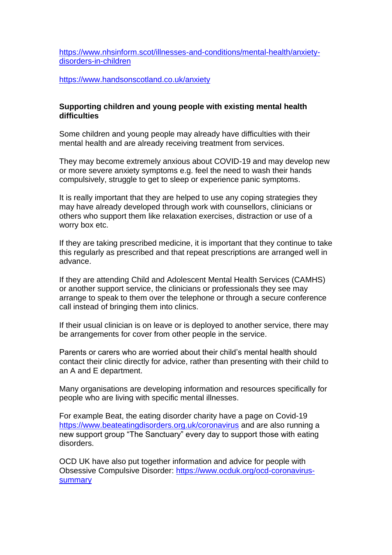[https://www.nhsinform.scot/illnesses-and-conditions/mental-health/anxiety](https://www.nhsinform.scot/illnesses-and-conditions/mental-health/anxiety-disorders-in-children)[disorders-in-children](https://www.nhsinform.scot/illnesses-and-conditions/mental-health/anxiety-disorders-in-children)

<https://www.handsonscotland.co.uk/anxiety>

### **Supporting children and young people with existing mental health difficulties**

Some children and young people may already have difficulties with their mental health and are already receiving treatment from services.

They may become extremely anxious about COVID-19 and may develop new or more severe anxiety symptoms e.g. feel the need to wash their hands compulsively, struggle to get to sleep or experience panic symptoms.

It is really important that they are helped to use any coping strategies they may have already developed through work with counsellors, clinicians or others who support them like relaxation exercises, distraction or use of a worry box etc.

If they are taking prescribed medicine, it is important that they continue to take this regularly as prescribed and that repeat prescriptions are arranged well in advance.

If they are attending Child and Adolescent Mental Health Services (CAMHS) or another support service, the clinicians or professionals they see may arrange to speak to them over the telephone or through a secure conference call instead of bringing them into clinics.

If their usual clinician is on leave or is deployed to another service, there may be arrangements for cover from other people in the service.

Parents or carers who are worried about their child's mental health should contact their clinic directly for advice, rather than presenting with their child to an A and E department.

Many organisations are developing information and resources specifically for people who are living with specific mental illnesses.

For example Beat, the eating disorder charity have a page on Covid-19 <https://www.beateatingdisorders.org.uk/coronavirus> and are also running a new support group "The Sanctuary" every day to support those with eating disorders.

OCD UK have also put together information and advice for people with Obsessive Compulsive Disorder: [https://www.ocduk.org/ocd-coronavirus](https://www.ocduk.org/ocd-coronavirus-summary/)[summary](https://www.ocduk.org/ocd-coronavirus-summary/)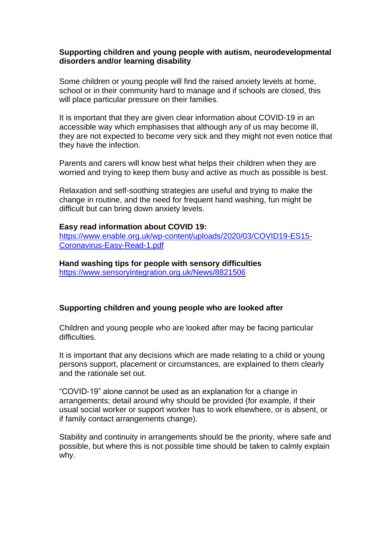### **Supporting children and young people with autism, neurodevelopmental disorders and/or learning disability**

Some children or young people will find the raised anxiety levels at home, school or in their community hard to manage and if schools are closed, this will place particular pressure on their families.

It is important that they are given clear information about COVID-19 in an accessible way which emphasises that although any of us may become ill, they are not expected to become very sick and they might not even notice that they have the infection.

Parents and carers will know best what helps their children when they are worried and trying to keep them busy and active as much as possible is best.

Relaxation and self-soothing strategies are useful and trying to make the change in routine, and the need for frequent hand washing, fun might be difficult but can bring down anxiety levels.

#### **Easy read information about COVID 19:**

[https://www.enable.org.uk/wp-content/uploads/2020/03/COVID19-ES15-](https://www.enable.org.uk/wp-content/uploads/2020/03/COVID19-ES15-Coronavirus-Easy-Read-1.pdf) [Coronavirus-Easy-Read-1.pdf](https://www.enable.org.uk/wp-content/uploads/2020/03/COVID19-ES15-Coronavirus-Easy-Read-1.pdf)

**Hand washing tips for people with sensory difficulties** <https://www.sensoryintegration.org.uk/News/8821506>

### **Supporting children and young people who are looked after**

Children and young people who are looked after may be facing particular difficulties

It is important that any decisions which are made relating to a child or young persons support, placement or circumstances, are explained to them clearly and the rationale set out.

"COVID-19" alone cannot be used as an explanation for a change in arrangements; detail around why should be provided (for example, if their usual social worker or support worker has to work elsewhere, or is absent, or if family contact arrangements change).

Stability and continuity in arrangements should be the priority, where safe and possible, but where this is not possible time should be taken to calmly explain why.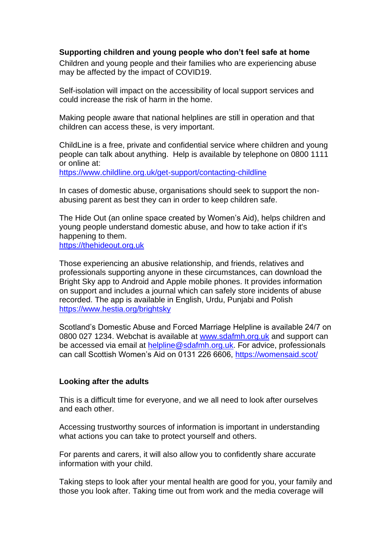### **Supporting children and young people who don't feel safe at home**

Children and young people and their families who are experiencing abuse may be affected by the impact of COVID19.

Self-isolation will impact on the accessibility of local support services and could increase the risk of harm in the home.

Making people aware that national helplines are still in operation and that children can access these, is very important.

ChildLine is a free, private and confidential service where children and young people can talk about anything. Help is available by telephone on 0800 1111 or online at: <https://www.childline.org.uk/get-support/contacting-childline>

In cases of domestic abuse, organisations should seek to support the nonabusing parent as best they can in order to keep children safe.

The Hide Out (an online space created by Women's Aid), helps children and young people understand domestic abuse, and how to take action if it's happening to them. [https://thehideout.org.uk](https://thehideout.org.uk/)

Those experiencing an abusive relationship, and friends, relatives and professionals supporting anyone in these circumstances, can download the Bright Sky app to Android and Apple mobile phones. It provides information on support and includes a journal which can safely store incidents of abuse recorded. The app is available in English, Urdu, Punjabi and Polish <https://www.hestia.org/brightsky>

Scotland's Domestic Abuse and Forced Marriage Helpline is available 24/7 on 0800 027 1234. Webchat is available at [www.sdafmh.org.uk](http://www.sdafmh.org.uk/) and support can be accessed via email at [helpline@sdafmh.org.uk.](mailto:helpline@sdafmh.org.uk) For advice, professionals can call Scottish Women's Aid on 0131 226 6606,<https://womensaid.scot/>

### **Looking after the adults**

This is a difficult time for everyone, and we all need to look after ourselves and each other.

Accessing trustworthy sources of information is important in understanding what actions you can take to protect yourself and others.

For parents and carers, it will also allow you to confidently share accurate information with your child.

Taking steps to look after your mental health are good for you, your family and those you look after. Taking time out from work and the media coverage will